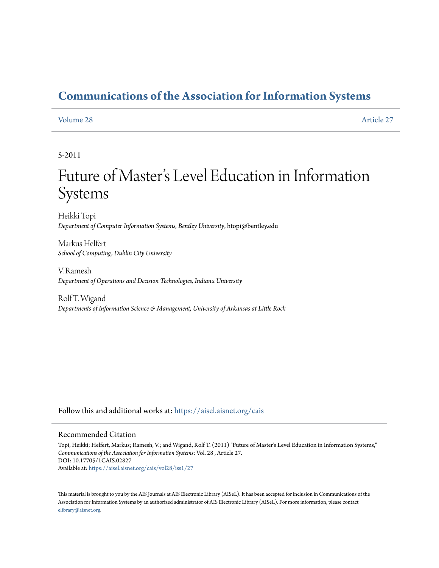# **[Communications of the Association for Information Systems](https://aisel.aisnet.org/cais?utm_source=aisel.aisnet.org%2Fcais%2Fvol28%2Fiss1%2F27&utm_medium=PDF&utm_campaign=PDFCoverPages)**

#### [Volume 28](https://aisel.aisnet.org/cais/vol28?utm_source=aisel.aisnet.org%2Fcais%2Fvol28%2Fiss1%2F27&utm_medium=PDF&utm_campaign=PDFCoverPages) [Article 27](https://aisel.aisnet.org/cais/vol28/iss1/27?utm_source=aisel.aisnet.org%2Fcais%2Fvol28%2Fiss1%2F27&utm_medium=PDF&utm_campaign=PDFCoverPages)

# 5-2011

# Future of Master 's Level Education in Information Systems

Heikki Topi *Department of Computer Information Systems, Bentley University*, htopi@bentley.edu

Markus Helfert *School of Computing, Dublin City University*

V. Ramesh *Department of Operations and Decision Technologies, Indiana University*

Rolf T. Wigand *Departments of Information Science & Management, University of Arkansas at Little Rock*

Follow this and additional works at: [https://aisel.aisnet.org/cais](https://aisel.aisnet.org/cais?utm_source=aisel.aisnet.org%2Fcais%2Fvol28%2Fiss1%2F27&utm_medium=PDF&utm_campaign=PDFCoverPages)

#### Recommended Citation

Topi, Heikki; Helfert, Markus; Ramesh, V.; and Wigand, Rolf T. (2011) "Future of Master's Level Education in Information Systems," *Communications of the Association for Information Systems*: Vol. 28 , Article 27. DOI: 10.17705/1CAIS.02827 Available at: [https://aisel.aisnet.org/cais/vol28/iss1/27](https://aisel.aisnet.org/cais/vol28/iss1/27?utm_source=aisel.aisnet.org%2Fcais%2Fvol28%2Fiss1%2F27&utm_medium=PDF&utm_campaign=PDFCoverPages)

This material is brought to you by the AIS Journals at AIS Electronic Library (AISeL). It has been accepted for inclusion in Communications of the Association for Information Systems by an authorized administrator of AIS Electronic Library (AISeL). For more information, please contact [elibrary@aisnet.org.](mailto:elibrary@aisnet.org%3E)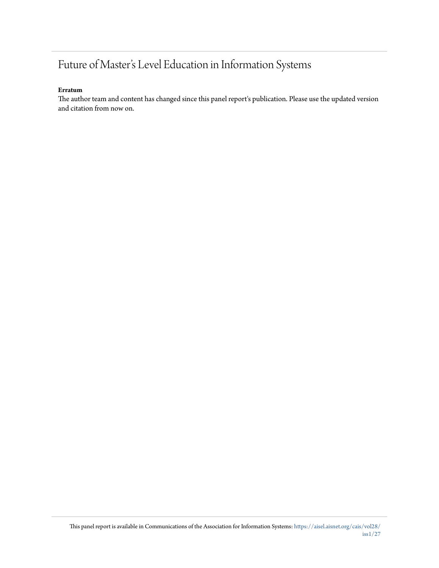# Future of Master's Level Education in Information Systems

#### **Erratum**

The author team and content has changed since this panel report's publication. Please use the updated version and citation from now on.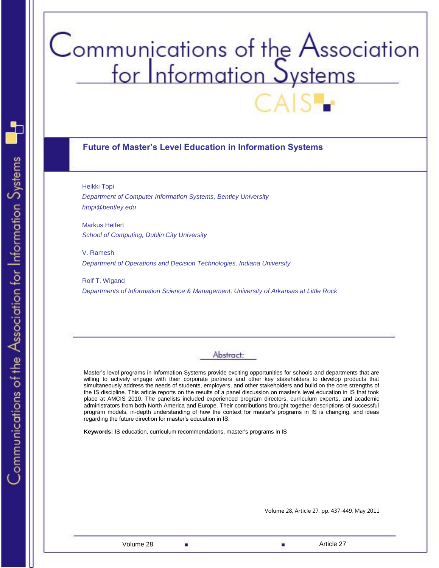# Communications of the Association<br>for Information Systems

# **Future of Master's Level Education in Information Systems**

Heikki Topi

*Department of Computer Information Systems, Bentley University [htopi@bentley.edu](mailto:htopi@bentley.edu)*

Markus Helfert *School of Computing, Dublin City University*

V. Ramesh *Department of Operations and Decision Technologies, Indiana University*

Rolf T. Wigand *Departments of Information Science & Management, University of Arkansas at Little Rock*

# Abstract:

Master's level programs in Information Systems provide exciting opportunities for schools and departments that are willing to actively engage with their corporate partners and other key stakeholders to develop products that simultaneously address the needs of students, employers, and other stakeholders and build on the core strengths of the IS discipline. This article reports on the results of a panel discussion on master's level education in IS that took place at AMCIS 2010. The panelists included experienced program directors, curriculum experts, and academic administrators from both North America and Europe. Their contributions brought together descriptions of successful program models, in-depth understanding of how the context for master's programs in IS is changing, and ideas regarding the future direction for master's education in IS.

**Keywords:** IS education, curriculum recommendations, master's programs in IS

Volume 28, Article 27, pp. 437-449, May 2011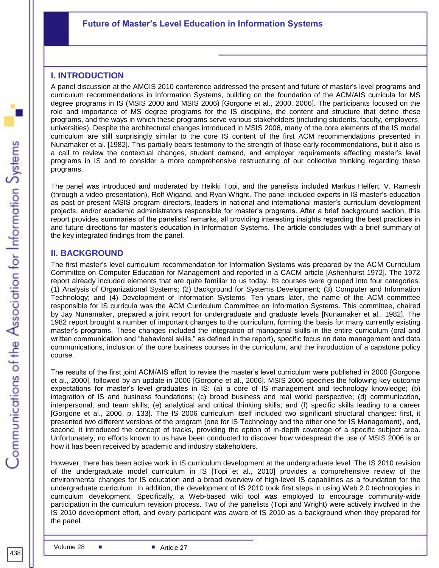# **Future of Master's Level Education in Information Systems**

# **I. INTRODUCTION**

A panel discussion at the AMCIS 2010 conference addressed the present and future of master's level programs and curriculum recommendations in Information Systems, building on the foundation of the ACM/AIS curricula for MS degree programs in IS (MSIS 2000 and MSIS 2006) [Gorgone et al., 2000, 2006]. The participants focused on the role and importance of MS degree programs for the IS discipline, the content and structure that define these programs, and the ways in which these programs serve various stakeholders (including students, faculty, employers, universities). Despite the architectural changes introduced in MSIS 2006, many of the core elements of the IS model curriculum are still surprisingly similar to the core IS content of the first ACM recommendations presented in Nunamaker et al. [1982]. This partially bears testimony to the strength of those early recommendations, but it also is a call to review the contextual changes, student demand, and employer requirements affecting master's level programs in IS and to consider a more comprehensive restructuring of our collective thinking regarding these programs.

The panel was introduced and moderated by Heikki Topi, and the panelists included Markus Helfert, V. Ramesh (through a video presentation), Rolf Wigand, and Ryan Wright. The panel included experts in IS master's education as past or present MSIS program directors, leaders in national and international master's curriculum development projects, and/or academic administrators responsible for master's programs. After a brief background section, this report provides summaries of the panelists' remarks, all providing interesting insights regarding the best practices in and future directions for master's education in Information Systems. The article concludes with a brief summary of the key integrated findings from the panel.

# **II. BACKGROUND**

The first master's level curriculum recommendation for Information Systems was prepared by the ACM Curriculum Committee on Computer Education for Management and reported in a CACM article [Ashenhurst 1972]. The 1972 report already included elements that are quite familiar to us today. Its courses were grouped into four categories: (1) Analysis of Organizational Systems; (2) Background for Systems Development; (3) Computer and Information Technology; and (4) Development of Information Systems. Ten years later, the name of the ACM committee responsible for IS curricula was the ACM Curriculum Committee on Information Systems. This committee, chaired by Jay Nunamaker, prepared a joint report for undergraduate and graduate levels [Nunamaker et al., 1982]. The 1982 report brought a number of important changes to the curriculum, forming the basis for many currently existing master's programs. These changes included the integration of managerial skills in the entire curriculum (oral and written communication and "behavioral skills," as defined in the report), specific focus on data management and data communications, inclusion of the core business courses in the curriculum, and the introduction of a capstone policy course.

The results of the first joint ACM/AIS effort to revise the master's level curriculum were published in 2000 [Gorgone et al., 2000], followed by an update in 2006 [Gorgone et al., 2006]. MSIS 2006 specifies the following key outcome expectations for master's level graduates in IS: (a) a core of IS management and technology knowledge; (b) integration of IS and business foundations; (c) broad business and real world perspective; (d) communication, interpersonal, and team skills; (e) analytical and critical thinking skills; and (f) specific skills leading to a career [Gorgone et al., 2006, p. 133]. The IS 2006 curriculum itself included two significant structural changes: first, it presented two different versions of the program (one for IS Technology and the other one for IS Management), and, second, it introduced the concept of tracks, providing the option of in-depth coverage of a specific subject area. Unfortunately, no efforts known to us have been conducted to discover how widespread the use of MSIS 2006 is or how it has been received by academic and industry stakeholders.

environmental changes for IS education and a broad overview of high-level IS capabilities as a foundation for the However, there has been active work in IS curriculum development at the undergraduate level. The IS 2010 revision of the undergraduate model curriculum in IS [Topi et al., 2010] provides a comprehensive review of the undergraduate curriculum. In addition, the development of IS 2010 took first steps in using Web 2.0 technologies in curriculum development. Specifically, a Web-based wiki tool was employed to encourage community-wide participation in the curriculum revision process. Two of the panelists (Topi and Wright) were actively involved in the IS 2010 development effort, and every participant was aware of IS 2010 as a background when they prepared for the panel.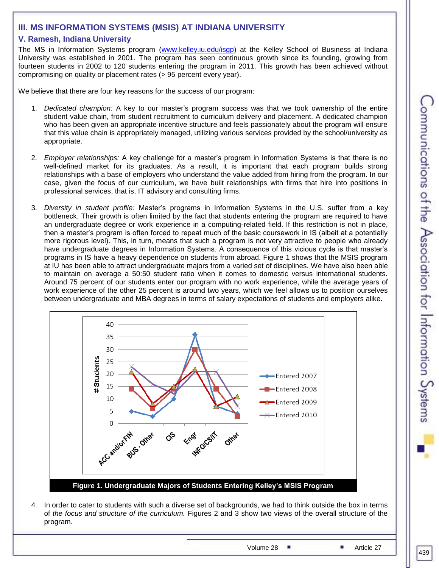# **III. MS INFORMATION SYSTEMS (MSIS) AT INDIANA UNIVERSITY**

# **V. Ramesh, Indiana University**

The MS in Information Systems program [\(www.kelley.iu.edu/isgp\)](http://www.kelley.iu.edu/isgp) at the Kelley School of Business at Indiana University was established in 2001. The program has seen continuous growth since its founding, growing from fourteen students in 2002 to 120 students entering the program in 2011. This growth has been achieved without compromising on quality or placement rates (> 95 percent every year).

We believe that there are four key reasons for the success of our program:

- 1. *Dedicated champion:* A key to our master's program success was that we took ownership of the entire student value chain, from student recruitment to curriculum delivery and placement. A dedicated champion who has been given an appropriate incentive structure and feels passionately about the program will ensure that this value chain is appropriately managed, utilizing various services provided by the school/university as appropriate.
- 2. *Employer relationships:* A key challenge for a master's program in Information Systems is that there is no well-defined market for its graduates. As a result, it is important that each program builds strong relationships with a base of employers who understand the value added from hiring from the program. In our case, given the focus of our curriculum, we have built relationships with firms that hire into positions in professional services, that is, IT advisory and consulting firms.
- 3. *Diversity in student profile:* Master's programs in Information Systems in the U.S. suffer from a key bottleneck. Their growth is often limited by the fact that students entering the program are required to have an undergraduate degree or work experience in a computing-related field. If this restriction is not in place, then a master's program is often forced to repeat much of the basic coursework in IS (albeit at a potentially more rigorous level). This, in turn, means that such a program is not very attractive to people who already have undergraduate degrees in Information Systems. A consequence of this vicious cycle is that master's programs in IS have a heavy dependence on students from abroad. Figure 1 shows that the MSIS program at IU has been able to attract undergraduate majors from a varied set of disciplines. We have also been able to maintain on average a 50:50 student ratio when it comes to domestic versus international students. Around 75 percent of our students enter our program with no work experience, while the average years of work experience of the other 25 percent is around two years, which we feel allows us to position ourselves between undergraduate and MBA degrees in terms of salary expectations of students and employers alike.



4. In order to cater to students with such a diverse set of backgrounds, we had to think outside the box in terms of *the focus and structure of the curriculum.* Figures 2 and 3 show two views of the overall structure of the program.

Volume 28 ■ Article 27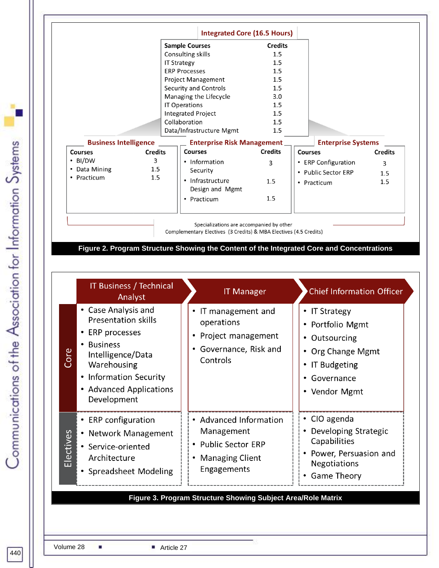|                              |                | <b>Integrated Core (16.5 Hours)</b><br><b>Sample Courses</b> | <b>Credits</b> |                           |                |
|------------------------------|----------------|--------------------------------------------------------------|----------------|---------------------------|----------------|
|                              |                | Consulting skills                                            | 1.5            |                           |                |
|                              |                |                                                              | 1.5            |                           |                |
|                              |                | <b>IT Strategy</b><br><b>ERP Processes</b>                   | 1.5            |                           |                |
|                              |                |                                                              |                |                           |                |
|                              |                | Project Management                                           | 1.5            |                           |                |
|                              |                | Security and Controls                                        | 1.5            |                           |                |
|                              |                | Managing the Lifecycle                                       | 3.0            |                           |                |
|                              |                | <b>IT Operations</b>                                         | 1.5            |                           |                |
|                              |                | <b>Integrated Project</b>                                    | 1.5            |                           |                |
|                              |                | Collaboration                                                | 1.5            |                           |                |
|                              |                | Data/Infrastructure Mgmt                                     | 1.5            |                           |                |
| <b>Business Intelligence</b> |                | <b>Enterprise Risk Management_</b>                           |                | <b>Enterprise Systems</b> |                |
| <b>Courses</b>               | <b>Credits</b> | <b>Courses</b>                                               | <b>Credits</b> | <b>Courses</b>            | <b>Credits</b> |
| $\cdot$ BI/DW                | 3              | • Information                                                | 3              | • ERP Configuration       | 3              |
| • Data Mining                | 1.5            | Security                                                     |                | • Public Sector ERP       | 1.5            |
| • Practicum                  | 1.5            | • Infrastructure                                             | 1.5            |                           | 1.5            |
|                              |                | Design and Mgmt                                              |                | • Practicum               |                |
|                              |                |                                                              | 1.5            |                           |                |
|                              |                | • Practicum                                                  |                |                           |                |
|                              |                |                                                              |                |                           |                |

**Figure 2. Program Structure Showing the Content of the Integrated Core and Concentrations**

| • Case Analysis and<br>IT management and<br>• IT Strategy<br><b>Presentation skills</b><br>operations<br>• Portfolio Mgmt<br>ERP processes<br>Project management<br>• Outsourcing<br><b>Business</b><br>Governance, Risk and<br>• Org Change Mgmt<br>Core<br>Intelligence/Data<br>Controls<br>Warehousing<br>• IT Budgeting<br>• Information Security<br>• Governance<br>• Advanced Applications<br>• Vendor Mgmt<br>Development<br>• CIO agenda<br>• Advanced Information<br>• ERP configuration<br>Developing Strategic<br>Management<br>Electives<br>• Network Management<br>Capabilities<br>• Public Sector ERP<br>• Service-oriented<br>• Power, Persuasion and<br>Architecture<br><b>Managing Client</b><br>Negotiations<br>Engagements<br>• Spreadsheet Modeling<br><b>Game Theory</b> | <b>IT Business / Technical</b><br>Analyst | <b>IT Manager</b> | <b>Chief Information Officer</b> |
|-----------------------------------------------------------------------------------------------------------------------------------------------------------------------------------------------------------------------------------------------------------------------------------------------------------------------------------------------------------------------------------------------------------------------------------------------------------------------------------------------------------------------------------------------------------------------------------------------------------------------------------------------------------------------------------------------------------------------------------------------------------------------------------------------|-------------------------------------------|-------------------|----------------------------------|
|                                                                                                                                                                                                                                                                                                                                                                                                                                                                                                                                                                                                                                                                                                                                                                                               |                                           |                   |                                  |
|                                                                                                                                                                                                                                                                                                                                                                                                                                                                                                                                                                                                                                                                                                                                                                                               |                                           |                   |                                  |

Communications of the Association for Information Systems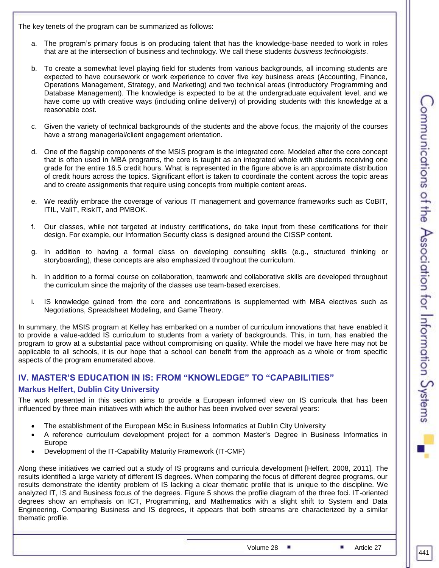The key tenets of the program can be summarized as follows:

- a. The program's primary focus is on producing talent that has the knowledge-base needed to work in roles that are at the intersection of business and technology. We call these students *business technologists*.
- b. To create a somewhat level playing field for students from various backgrounds, all incoming students are expected to have coursework or work experience to cover five key business areas (Accounting, Finance, Operations Management, Strategy, and Marketing) and two technical areas (Introductory Programming and Database Management). The knowledge is expected to be at the undergraduate equivalent level, and we have come up with creative ways (including online delivery) of providing students with this knowledge at a reasonable cost.
- c. Given the variety of technical backgrounds of the students and the above focus, the majority of the courses have a strong managerial/client engagement orientation.
- d. One of the flagship components of the MSIS program is the integrated core. Modeled after the core concept that is often used in MBA programs, the core is taught as an integrated whole with students receiving one grade for the entire 16.5 credit hours. What is represented in the figure above is an approximate distribution of credit hours across the topics. Significant effort is taken to coordinate the content across the topic areas and to create assignments that require using concepts from multiple content areas.
- e. We readily embrace the coverage of various IT management and governance frameworks such as CoBIT, ITIL, ValIT, RiskIT, and PMBOK.
- f. Our classes, while not targeted at industry certifications, do take input from these certifications for their design. For example, our Information Security class is designed around the CISSP content.
- g. In addition to having a formal class on developing consulting skills (e.g., structured thinking or storyboarding), these concepts are also emphasized throughout the curriculum.
- h. In addition to a formal course on collaboration, teamwork and collaborative skills are developed throughout the curriculum since the majority of the classes use team-based exercises.
- i. IS knowledge gained from the core and concentrations is supplemented with MBA electives such as Negotiations, Spreadsheet Modeling, and Game Theory.

In summary, the MSIS program at Kelley has embarked on a number of curriculum innovations that have enabled it to provide a value-added IS curriculum to students from a variety of backgrounds. This, in turn, has enabled the program to grow at a substantial pace without compromising on quality. While the model we have here may not be applicable to all schools, it is our hope that a school can benefit from the approach as a whole or from specific aspects of the program enumerated above.

# **IV. MASTER'S EDUCATION IN IS: FROM "KNOWLEDGE" TO "CAPABILITIES"**

#### **Markus Helfert, Dublin City University**

The work presented in this section aims to provide a European informed view on IS curricula that has been influenced by three main initiatives with which the author has been involved over several years:

- The establishment of the European MSc in Business Informatics at Dublin City University
- A reference curriculum development project for a common Master's Degree in Business Informatics in Europe
- Development of the IT-Capability Maturity Framework (IT-CMF)

Along these initiatives we carried out a study of IS programs and curricula development [Helfert, 2008, 2011]. The results identified a large variety of different IS degrees. When comparing the focus of different degree programs, our results demonstrate the identity problem of IS lacking a clear thematic profile that is unique to the discipline. We analyzed IT, IS and Business focus of the degrees. Figure 5 shows the profile diagram of the three foci. IT-oriented degrees show an emphasis on ICT, Programming, and Mathematics with a slight shift to System and Data Engineering. Comparing Business and IS degrees, it appears that both streams are characterized by a similar thematic profile.

Volume 28  $\blacksquare$  Article 27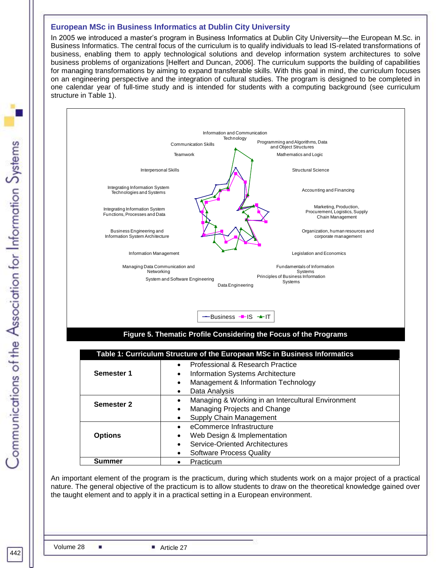#### **European MSc in Business Informatics at Dublin City University**

In 2005 we introduced a master's program in Business Informatics at Dublin City University—the European M.Sc. in Business Informatics. The central focus of the curriculum is to qualify individuals to lead IS-related transformations of business, enabling them to apply technological solutions and develop information system architectures to solve business problems of organizations [Helfert and Duncan, 2006]. The curriculum supports the building of capabilities for managing transformations by aiming to expand transferable skills. With this goal in mind, the curriculum focuses on an engineering perspective and the integration of cultural studies. The program is designed to be completed in one calendar year of full-time study and is intended for students with a computing background (see curriculum

Information and Communication

Programming and Algorithms, Data and Object Structures Mathematics and Logic

Structural Science

Accounting and Financing

Legislation and Economics

Marketing, Production, Procurement, Logistics, Supply Chain Management Organization, human resources and corporate management



| Managing Data Communication and<br>Networking |                                                                           | Fundamentals of Information<br>Systems        |  |  |  |  |  |
|-----------------------------------------------|---------------------------------------------------------------------------|-----------------------------------------------|--|--|--|--|--|
|                                               | System and Software Engineering<br>Data Engineering                       | Principles of Business Information<br>Systems |  |  |  |  |  |
|                                               | $-$ Business $-$ IS $+$ IT                                                |                                               |  |  |  |  |  |
|                                               | Figure 5. Thematic Profile Considering the Focus of the Programs          |                                               |  |  |  |  |  |
|                                               |                                                                           |                                               |  |  |  |  |  |
|                                               | Table 1: Curriculum Structure of the European MSc in Business Informatics |                                               |  |  |  |  |  |
|                                               | Professional & Research Practice                                          |                                               |  |  |  |  |  |
| Semester 1                                    |                                                                           | <b>Information Systems Architecture</b>       |  |  |  |  |  |
|                                               |                                                                           | Management & Information Technology           |  |  |  |  |  |
|                                               | Data Analysis<br>٠                                                        |                                               |  |  |  |  |  |
| <b>Semester 2</b>                             | Managing & Working in an Intercultural Environment                        |                                               |  |  |  |  |  |
|                                               |                                                                           | Managing Projects and Change                  |  |  |  |  |  |
|                                               |                                                                           | Supply Chain Management                       |  |  |  |  |  |
|                                               | eCommerce Infrastructure                                                  |                                               |  |  |  |  |  |
| <b>Options</b>                                | Web Design & Implementation                                               |                                               |  |  |  |  |  |
|                                               | Service-Oriented Architectures                                            |                                               |  |  |  |  |  |
| Software Process Quality                      |                                                                           |                                               |  |  |  |  |  |

An important element of the program is the practicum, during which students work on a major project of a practical nature. The general objective of the practicum is to allow students to draw on the theoretical knowledge gained over the taught element and to apply it in a practical setting in a European environment.

**Summer e Practicum**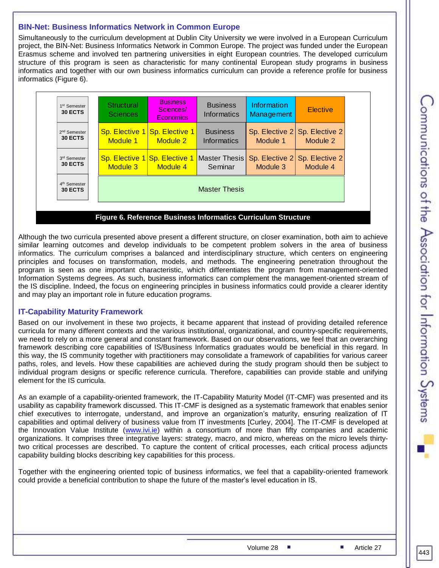# **BIN-Net: Business Informatics Network in Common Europe**

Simultaneously to the curriculum development at Dublin City University we were involved in a European Curriculum project, the BIN-Net: Business Informatics Network in Common Europe. The project was funded under the European Erasmus scheme and involved ten partnering universities in eight European countries. The developed curriculum structure of this program is seen as characteristic for many continental European study programs in business informatics and together with our own business informatics curriculum can provide a reference profile for business informatics (Figure 6).

| 1 <sup>st</sup> Semester<br>30 ECTS | Structural<br><b>Sciences</b> | <b>Business</b><br>Sciences/<br><b>Economics</b> | <b>Business</b><br>Informatics | Information<br>Management | <b>Elective</b> |  |  |
|-------------------------------------|-------------------------------|--------------------------------------------------|--------------------------------|---------------------------|-----------------|--|--|
| 2 <sup>nd</sup> Semester            | Sp. Elective 1                | <b>Sp. Elective 1</b>                            | <b>Business</b>                | Sp. Elective 2            | Sp. Elective 2  |  |  |
| 30 ECTS                             | Module 1                      | <b>Module 2</b>                                  | Informatics                    | Module 1                  | Module 2        |  |  |
| 3rd Semester                        | Module 3                      | <b>Sp. Elective 1 Sp. Elective 1</b>             | Master Thesis                  | Sp. Elective 2            | Sp. Elective 2  |  |  |
| 30 ECTS                             |                               | Module 4                                         | Seminar                        | Module 3                  | Module 4        |  |  |
| 4 <sup>th</sup> Semester<br>30 ECTS | <b>Master Thesis</b>          |                                                  |                                |                           |                 |  |  |

# Although the two curricula presented above present a different structure, on closer examination, both aim to achieve similar learning outcomes and develop individuals to be competent problem solvers in the area of business informatics. The curriculum comprises a balanced and interdisciplinary structure, which centers on engineering

principles and focuses on transformation, models, and methods. The engineering penetration throughout the program is seen as one important characteristic, which differentiates the program from management-oriented Information Systems degrees. As such, business informatics can complement the management-oriented stream of the IS discipline. Indeed, the focus on engineering principles in business informatics could provide a clearer identity and may play an important role in future education programs.

# **IT-Capability Maturity Framework**

Based on our involvement in these two projects, it became apparent that instead of providing detailed reference curricula for many different contexts and the various institutional, organizational, and country-specific requirements, we need to rely on a more general and constant framework. Based on our observations, we feel that an overarching framework describing core capabilities of IS/Business Informatics graduates would be beneficial in this regard. In this way, the IS community together with practitioners may consolidate a framework of capabilities for various career paths, roles, and levels. How these capabilities are achieved during the study program should then be subject to individual program designs or specific reference curricula. Therefore, capabilities can provide stable and unifying element for the IS curricula.

As an example of a capability-oriented framework, the IT-Capability Maturity Model (IT-CMF) was presented and its usability as capability framework discussed. This IT-CMF is designed as a systematic framework that enables senior chief executives to interrogate, understand, and improve an organization's maturity, ensuring realization of IT capabilities and optimal delivery of business value from IT investments [Curley, 2004]. The IT-CMF is developed at the Innovation Value Institute [\(www.ivi.ie\)](http://www.ivi.ie/) within a consortium of more than fifty companies and academic organizations. It comprises three integrative layers: strategy, macro, and micro, whereas on the micro levels thirtytwo critical processes are described. To capture the content of critical processes, each critical process adjuncts capability building blocks describing key capabilities for this process.

Together with the engineering oriented topic of business informatics, we feel that a capability-oriented framework could provide a beneficial contribution to shape the future of the master's level education in IS.

443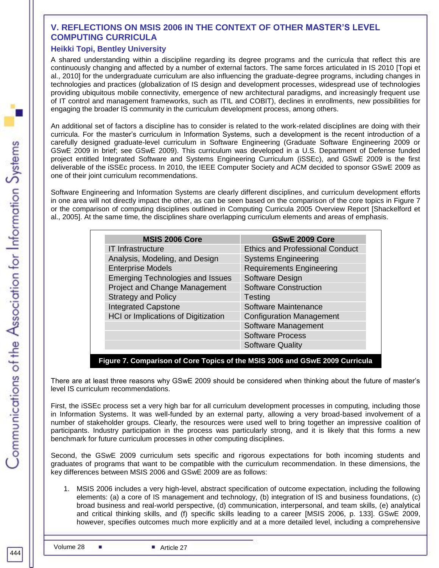# **V. REFLECTIONS ON MSIS 2006 IN THE CONTEXT OF OTHER MASTER'S LEVEL COMPUTING CURRICULA**

# **Heikki Topi, Bentley University**

A shared understanding within a discipline regarding its degree programs and the curricula that reflect this are continuously changing and affected by a number of external factors. The same forces articulated in IS 2010 [Topi et al., 2010] for the undergraduate curriculum are also influencing the graduate-degree programs, including changes in technologies and practices (globalization of IS design and development processes, widespread use of technologies providing ubiquitous mobile connectivity, emergence of new architectural paradigms, and increasingly frequent use of IT control and management frameworks, such as ITIL and COBIT), declines in enrollments, new possibilities for engaging the broader IS community in the curriculum development process, among others.

An additional set of factors a discipline has to consider is related to the work-related disciplines are doing with their curricula. For the master's curriculum in Information Systems, such a development is the recent introduction of a carefully designed graduate-level curriculum in Software Engineering (Graduate Software Engineering 2009 or GSwE 2009 in brief; see GSwE 2009). This curriculum was developed in a U.S. Department of Defense funded project entitled Integrated Software and Systems Engineering Curriculum (iSSEc), and GSwE 2009 is the first deliverable of the iSSEc process. In 2010, the IEEE Computer Society and ACM decided to sponsor GSwE 2009 as one of their joint curriculum recommendations.

Software Engineering and Information Systems are clearly different disciplines, and curriculum development efforts in one area will not directly impact the other, as can be seen based on the comparison of the core topics in Figure 7 or the comparison of computing disciplines outlined in Computing Curricula 2005 Overview Report [Shackelford et al., 2005]. At the same time, the disciplines share overlapping curriculum elements and areas of emphasis.

| <b>MSIS 2006 Core</b>                   | <b>GSwE 2009 Core</b>                  |  |  |  |
|-----------------------------------------|----------------------------------------|--|--|--|
| <b>IT Infrastructure</b>                | <b>Ethics and Professional Conduct</b> |  |  |  |
| Analysis, Modeling, and Design          | <b>Systems Engineering</b>             |  |  |  |
| <b>Enterprise Models</b>                | <b>Requirements Engineering</b>        |  |  |  |
| <b>Emerging Technologies and Issues</b> | Software Design                        |  |  |  |
| <b>Project and Change Management</b>    | <b>Software Construction</b>           |  |  |  |
| <b>Strategy and Policy</b>              | Testing                                |  |  |  |
| <b>Integrated Capstone</b>              | Software Maintenance                   |  |  |  |
| HCI or Implications of Digitization     | <b>Configuration Management</b>        |  |  |  |
|                                         | Software Management                    |  |  |  |
|                                         | <b>Software Process</b>                |  |  |  |
|                                         | <b>Software Quality</b>                |  |  |  |

**Figure 7. Comparison of Core Topics of the MSIS 2006 and GSwE 2009 Curricula**

There are at least three reasons why GSwE 2009 should be considered when thinking about the future of master's level IS curriculum recommendations.

First, the iSSEc process set a very high bar for all curriculum development processes in computing, including those in Information Systems. It was well-funded by an external party, allowing a very broad-based involvement of a number of stakeholder groups. Clearly, the resources were used well to bring together an impressive coalition of participants. Industry participation in the process was particularly strong, and it is likely that this forms a new benchmark for future curriculum processes in other computing disciplines.

Second, the GSwE 2009 curriculum sets specific and rigorous expectations for both incoming students and graduates of programs that want to be compatible with the curriculum recommendation. In these dimensions, the key differences between MSIS 2006 and GSwE 2009 are as follows:

1. MSIS 2006 includes a very high-level, abstract specification of outcome expectation, including the following elements: (a) a core of IS management and technology, (b) integration of IS and business foundations, (c) broad business and real-world perspective, (d) communication, interpersonal, and team skills, (e) analytical and critical thinking skills, and (f) specific skills leading to a career [MSIS 2006, p. 133]. GSwE 2009, however, specifies outcomes much more explicitly and at a more detailed level, including a comprehensive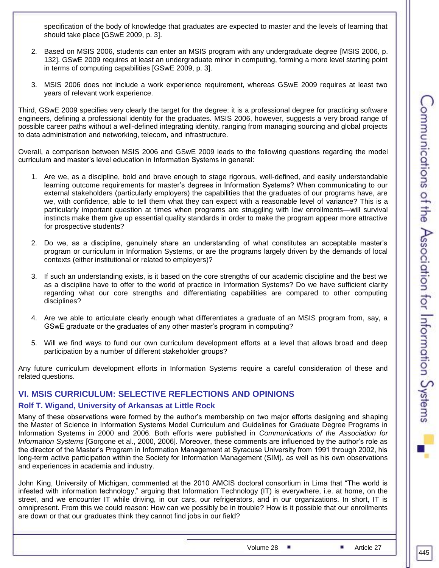specification of the body of knowledge that graduates are expected to master and the levels of learning that should take place [GSwE 2009, p. 3].

- 2. Based on MSIS 2006, students can enter an MSIS program with any undergraduate degree [MSIS 2006, p. 132]. GSwE 2009 requires at least an undergraduate minor in computing, forming a more level starting point in terms of computing capabilities [GSwE 2009, p. 3].
- 3. MSIS 2006 does not include a work experience requirement, whereas GSwE 2009 requires at least two years of relevant work experience.

Third, GSwE 2009 specifies very clearly the target for the degree: it is a professional degree for practicing software engineers, defining a professional identity for the graduates. MSIS 2006, however, suggests a very broad range of possible career paths without a well-defined integrating identity, ranging from managing sourcing and global projects to data administration and networking, telecom, and infrastructure.

Overall, a comparison between MSIS 2006 and GSwE 2009 leads to the following questions regarding the model curriculum and master's level education in Information Systems in general:

- 1. Are we, as a discipline, bold and brave enough to stage rigorous, well-defined, and easily understandable learning outcome requirements for master's degrees in Information Systems? When communicating to our external stakeholders (particularly employers) the capabilities that the graduates of our programs have, are we, with confidence, able to tell them what they can expect with a reasonable level of variance? This is a particularly important question at times when programs are struggling with low enrollments—will survival instincts make them give up essential quality standards in order to make the program appear more attractive for prospective students?
- 2. Do we, as a discipline, genuinely share an understanding of what constitutes an acceptable master's program or curriculum in Information Systems, or are the programs largely driven by the demands of local contexts (either institutional or related to employers)?
- 3. If such an understanding exists, is it based on the core strengths of our academic discipline and the best we as a discipline have to offer to the world of practice in Information Systems? Do we have sufficient clarity regarding what our core strengths and differentiating capabilities are compared to other computing disciplines?
- 4. Are we able to articulate clearly enough what differentiates a graduate of an MSIS program from, say, a GSwE graduate or the graduates of any other master's program in computing?
- 5. Will we find ways to fund our own curriculum development efforts at a level that allows broad and deep participation by a number of different stakeholder groups?

Any future curriculum development efforts in Information Systems require a careful consideration of these and related questions.

# **VI. MSIS CURRICULUM: SELECTIVE REFLECTIONS AND OPINIONS**

# **Rolf T. Wigand, University of Arkansas at Little Rock**

Many of these observations were formed by the author's membership on two major efforts designing and shaping the Master of Science in Information Systems Model Curriculum and Guidelines for Graduate Degree Programs in Information Systems in 2000 and 2006. Both efforts were published in *Communications of the Association for Information Systems* [Gorgone et al., 2000, 2006]. Moreover, these comments are influenced by the author's role as the director of the Master's Program in Information Management at Syracuse University from 1991 through 2002, his long-term active participation within the Society for Information Management (SIM), as well as his own observations and experiences in academia and industry.

John King, University of Michigan, commented at the 2010 AMCIS doctoral consortium in Lima that "The world is infested with information technology," arguing that Information Technology (IT) is everywhere, i.e. at home, on the street, and we encounter IT while driving, in our cars, our refrigerators, and in our organizations. In short, IT is omnipresent. From this we could reason: How can we possibly be in trouble? How is it possible that our enrollments are down or that our graduates think they cannot find jobs in our field?

Volume 28 ■ Article 27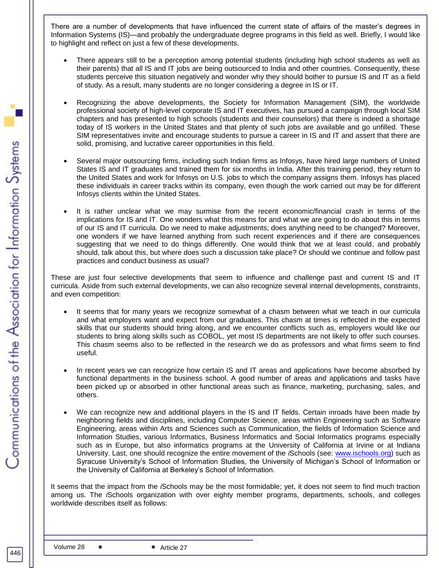There are a number of developments that have influenced the current state of affairs of the master's degrees in Information Systems (IS)—and probably the undergraduate degree programs in this field as well. Briefly, I would like to highlight and reflect on just a few of these developments.

- There appears still to be a perception among potential students (including high school students as well as their parents) that all IS and IT jobs are being outsourced to India and other countries. Consequently, these students perceive this situation negatively and wonder why they should bother to pursue IS and IT as a field of study. As a result, many students are no longer considering a degree in IS or IT.
- Recognizing the above developments, the Society for Information Management (SIM), the worldwide professional society of high-level corporate IS and IT executives, has pursued a campaign through local SIM chapters and has presented to high schools (students and their counselors) that there is indeed a shortage today of IS workers in the United States and that plenty of such jobs are available and go unfilled. These SIM representatives invite and encourage students to pursue a career in IS and IT and assert that there are solid, promising, and lucrative career opportunities in this field.
- Several major outsourcing firms, including such Indian firms as Infosys, have hired large numbers of United States IS and IT graduates and trained them for six months in India. After this training period, they return to the United States and work for Infosys on U.S. jobs to which the company assigns them. Infosys has placed these individuals in career tracks within its company, even though the work carried out may be for different Infosys clients within the United States.
- It is rather unclear what we may surmise from the recent economic/financial crash in terms of the implications for IS and IT. One wonders what this means for and what we are going to do about this in terms of our IS and IT curricula. Do we need to make adjustments; does anything need to be changed? Moreover, one wonders if we have learned anything from such recent experiences and if there are consequences suggesting that we need to do things differently. One would think that we at least could, and probably should, talk about this, but where does such a discussion take place? Or should we continue and follow past practices and conduct business as usual?

These are just four selective developments that seem to influence and challenge past and current IS and IT curricula. Aside from such external developments, we can also recognize several internal developments, constraints, and even competition:

- It seems that for many years we recognize somewhat of a chasm between what we teach in our curricula and what employers want and expect from our graduates. This chasm at times is reflected in the expected skills that our students should bring along, and we encounter conflicts such as, employers would like our students to bring along skills such as COBOL, yet most IS departments are not likely to offer such courses. This chasm seems also to be reflected in the research we do as professors and what firms seem to find useful.
- In recent years we can recognize how certain IS and IT areas and applications have become absorbed by functional departments in the business school. A good number of areas and applications and tasks have been picked up or absorbed in other functional areas such as finance, marketing, purchasing, sales, and others.
- We can recognize new and additional players in the IS and IT fields. Certain inroads have been made by neighboring fields and disciplines, including Computer Science, areas within Engineering such as Software Engineering, areas within Arts and Sciences such as Communication, the fields of Information Science and Information Studies, various Informatics, Business Informatics and Social Informatics programs especially such as in Europe, but also informatics programs at the University of California at Irvine or at Indiana University. Last, one should recognize the entire movement of the *i*Schools (see: [www.ischools.org\)](http://www.ischools.org/) such as Syracuse University's School of Information Studies, the University of Michigan's School of Information or the University of California at Berkeley's School of Information.

It seems that the impact from the *i*Schools may be the most formidable; yet, it does not seem to find much traction among us. The *i*Schools organization with over eighty member programs, departments, schools, and colleges worldwide describes itself as follows: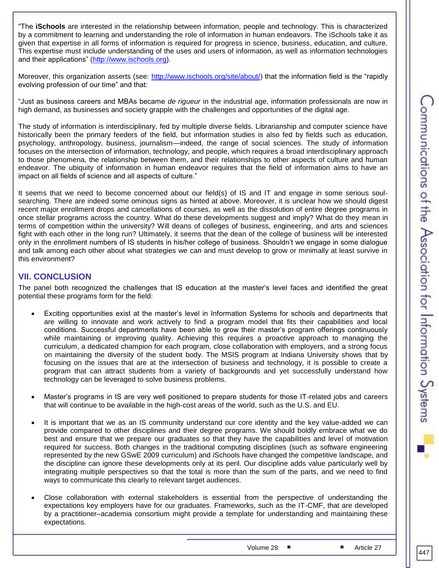"The **iSchools** are interested in the relationship between information, people and technology. This is characterized by a commitment to learning and understanding the role of information in human endeavors. The iSchools take it as given that expertise in all forms of information is required for progress in science, business, education, and culture. This expertise must include understanding of the uses and users of information, as well as information technologies and their applications" [\(http://www.ischools.org\)](http://www.ischools.org/).

Moreover, this organization asserts (see: [http://www.ischools.org/site/about/\)](http://www.ischools.org/site/about/) that the information field is the "rapidly evolving profession of our time" and that:

"Just as business careers and MBAs became *de rigueur* in the industrial age, information professionals are now in high demand, as businesses and society grapple with the challenges and opportunities of the digital age.

The study of information is interdisciplinary, fed by multiple diverse fields. Librarianship and computer science have historically been the primary feeders of the field, but information studies is also fed by fields such as education, psychology, anthropology, business, journalism—indeed, the range of social sciences. The study of information focuses on the intersection of information, technology, and people, which requires a broad interdisciplinary approach to those phenomena, the relationship between them, and their relationships to other aspects of culture and human endeavor. The ubiquity of information in human endeavor requires that the field of information aims to have an impact on all fields of science and all aspects of culture."

It seems that we need to become concerned about our field(s) of IS and IT and engage in some serious soulsearching. There are indeed some ominous signs as hinted at above. Moreover, it is unclear how we should digest recent major enrollment drops and cancellations of courses, as well as the dissolution of entire degree programs in once stellar programs across the country. What do these developments suggest and imply? What do they mean in terms of competition within the university? Will deans of colleges of business, engineering, and arts and sciences fight with each other in the long run? Ultimately, it seems that the dean of the college of business will be interested only in the enrollment numbers of IS students in his/her college of business. Shouldn't we engage in some dialogue and talk among each other about what strategies we can and must develop to grow or minimally at least survive in this environment?

# **VII. CONCLUSION**

The panel both recognized the challenges that IS education at the master's level faces and identified the great potential these programs form for the field:

- Exciting opportunities exist at the master's level in Information Systems for schools and departments that are willing to innovate and work actively to find a program model that fits their capabilities and local conditions. Successful departments have been able to grow their master's program offerings continuously while maintaining or improving quality. Achieving this requires a proactive approach to managing the curriculum, a dedicated champion for each program, close collaboration with employers, and a strong focus on maintaining the diversity of the student body. The MSIS program at Indiana University shows that by focusing on the issues that are at the intersection of business and technology, it is possible to create a program that can attract students from a variety of backgrounds and yet successfully understand how technology can be leveraged to solve business problems.
- Master's programs in IS are very well positioned to prepare students for those IT-related jobs and careers that will continue to be available in the high-cost areas of the world, such as the U.S. and EU.
- It is important that we as an IS community understand our core identity and the key value-added we can provide compared to other disciplines and their degree programs. We should boldly embrace what we do best and ensure that we prepare our graduates so that they have the capabilities and level of motivation required for success. Both changes in the traditional computing disciplines (such as software engineering represented by the new GSwE 2009 curriculum) and *i*Schools have changed the competitive landscape, and the discipline can ignore these developments only at its peril. Our discipline adds value particularly well by integrating multiple perspectives so that the total is more than the sum of the parts, and we need to find ways to communicate this clearly to relevant target audiences.
- Close collaboration with external stakeholders is essential from the perspective of understanding the expectations key employers have for our graduates. Frameworks, such as the IT-CMF, that are developed by a practitioner–academia consortium might provide a template for understanding and maintaining these expectations.

Volume 28 ■ Article 27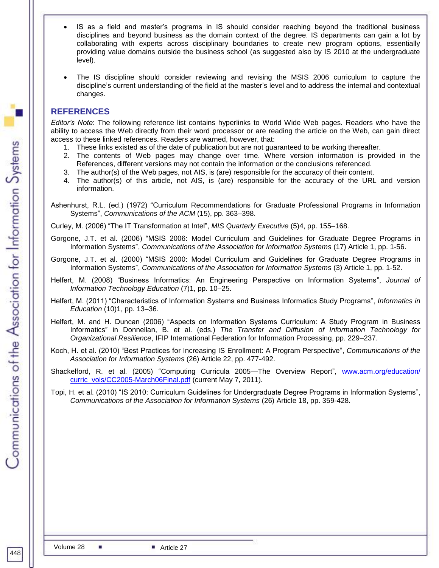- IS as a field and master's programs in IS should consider reaching beyond the traditional business disciplines and beyond business as the domain context of the degree. IS departments can gain a lot by collaborating with experts across disciplinary boundaries to create new program options, essentially providing value domains outside the business school (as suggested also by IS 2010 at the undergraduate level).
- The IS discipline should consider reviewing and revising the MSIS 2006 curriculum to capture the discipline's current understanding of the field at the master's level and to address the internal and contextual changes.

# **REFERENCES**

*Editor's Note*: The following reference list contains hyperlinks to World Wide Web pages. Readers who have the ability to access the Web directly from their word processor or are reading the article on the Web, can gain direct access to these linked references. Readers are warned, however, that:

- 1. These links existed as of the date of publication but are not guaranteed to be working thereafter.
- 2. The contents of Web pages may change over time. Where version information is provided in the References, different versions may not contain the information or the conclusions referenced.
- 3. The author(s) of the Web pages, not AIS, is (are) responsible for the accuracy of their content.
- 4. The author(s) of this article, not AIS, is (are) responsible for the accuracy of the URL and version information.

Ashenhurst, R.L. (ed.) (1972) "Curriculum Recommendations for Graduate Professional Programs in Information Systems", *Communications of the ACM* (15), pp. 363–398.

Curley, M. (2006) "The IT Transformation at Intel", *MIS Quarterly Executive* (5)4, pp. 155–168.

- Gorgone, J.T. et al. (2006) "MSIS 2006: Model Curriculum and Guidelines for Graduate Degree Programs in Information Systems", *Communications of the Association for Information Systems* (17) Article 1, pp. 1-56.
- Gorgone, J.T. et al. (2000) "MSIS 2000: Model Curriculum and Guidelines for Graduate Degree Programs in Information Systems", *Communications of the Association for Information Systems* (3) Article 1, pp. 1-52.
- Helfert, M. (2008) "Business Informatics: An Engineering Perspective on Information Systems", *Journal of Information Technology Education* (7)1, pp. 10–25.
- Helfert, M. (2011) "Characteristics of Information Systems and Business Informatics Study Programs", *Informatics in Education* (10)1, pp. 13–36.
- Helfert, M. and H. Duncan (2006) "Aspects on Information Systems Curriculum: A Study Program in Business Informatics" in Donnellan, B. et al. (eds.) *The Transfer and Diffusion of Information Technology for Organizational Resilience*, IFIP International Federation for Information Processing, pp. 229–237.
- Koch, H. et al. (2010) "Best Practices for Increasing IS Enrollment: A Program Perspective", *Communications of the Association for Information Systems* (26) Article 22, pp. 477-492.
- Shackelford, R. et al. (2005) "Computing Curricula 2005—The Overview Report", [www.acm.org/education/](http://www.acm.org/education/%0bcurric_vols/CC2005-March06Final.pdf) [curric\\_vols/CC2005-March06Final.pdf](http://www.acm.org/education/%0bcurric_vols/CC2005-March06Final.pdf) (current May 7, 2011).
- Topi, H. et al. (2010) "IS 2010: Curriculum Guidelines for Undergraduate Degree Programs in Information Systems", *Communications of the Association for Information Systems* (26) Article 18, pp. 359-428.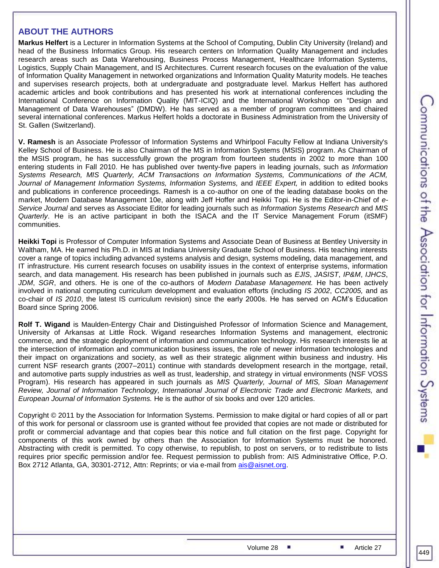## **ABOUT THE AUTHORS**

**Markus Helfert** is a Lecturer in Information Systems at the School of Computing, Dublin City University (Ireland) and head of the Business Informatics Group. His research centers on Information Quality Management and includes research areas such as Data Warehousing, Business Process Management, Healthcare Information Systems, Logistics, Supply Chain Management, and IS Architectures. Current research focuses on the evaluation of the value of Information Quality Management in networked organizations and Information Quality Maturity models. He teaches and supervises research projects, both at undergraduate and postgraduate level. Markus Helfert has authored academic articles and book contributions and has presented his work at international conferences including the International Conference on Information Quality (MIT-ICIQ) and the International Workshop on "Design and Management of Data Warehouses" (DMDW). He has served as a member of program committees and chaired several international conferences. Markus Helfert holds a doctorate in Business Administration from the University of St. Gallen (Switzerland).

**V. Ramesh** is an Associate Professor of Information Systems and Whirlpool Faculty Fellow at Indiana University's Kelley School of Business. He is also Chairman of the MS in Information Systems (MSIS) program. As Chairman of the MSIS program, he has successfully grown the program from fourteen students in 2002 to more than 100 entering students in Fall 2010. He has published over twenty-five papers in leading journals, such as *Information Systems Research, MIS Quarterly, ACM Transactions on Information Systems, Communications of the ACM, Journal of Management Information Systems, Information Systems,* and *IEEE Expert,* in addition to edited books and publications in conference proceedings. Ramesh is a co-author on one of the leading database books on the market, Modern Database Management 10e, along with Jeff Hoffer and Heikki Topi. He is the Editor-in-Chief of *e-Service Journal* and serves as Associate Editor for leading journals such as *Information Systems Research* and *MIS Quarterly*. He is an active participant in both the ISACA and the IT Service Management Forum (itSMF) communities.

**Heikki Topi** is Professor of Computer Information Systems and Associate Dean of Business at Bentley University in Waltham, MA. He earned his Ph.D. in MIS at Indiana University Graduate School of Business. His teaching interests cover a range of topics including advanced systems analysis and design, systems modeling, data management, and IT infrastructure. His current research focuses on usability issues in the context of enterprise systems, information search, and data management. His research has been published in journals such as *EJIS*, *JASIST*, *IP&M*, *IJHCS*, *JDM*, *SGR*, and others. He is one of the co-authors of *Modern Database Management.* He has been actively involved in national computing curriculum development and evaluation efforts (including *IS 2002*, *CC2005,* and as co-chair of *IS 2010*, the latest IS curriculum revision) since the early 2000s. He has served on ACM's Education Board since Spring 2006.

**Rolf T. Wigand** is Maulden-Entergy Chair and Distinguished Professor of Information Science and Management, University of Arkansas at Little Rock. Wigand researches Information Systems and management, electronic commerce, and the strategic deployment of information and communication technology. His research interests lie at the intersection of information and communication business issues, the role of newer information technologies and their impact on organizations and society, as well as their strategic alignment within business and industry. His current NSF research grants (2007–2011) continue with standards development research in the mortgage, retail, and automotive parts supply industries as well as trust, leadership, and strategy in virtual environments (NSF VOSS Program). His research has appeared in such journals as *MIS Quarterly, Journal of MIS, Sloan Management Review, Journal of Information Technology, International Journal of Electronic Trade and Electronic Markets, and European Journal of Information Systems.* He is the author of six books and over 120 articles.

Copyright © 2011 by the Association for Information Systems. Permission to make digital or hard copies of all or part of this work for personal or classroom use is granted without fee provided that copies are not made or distributed for profit or commercial advantage and that copies bear this notice and full citation on the first page. Copyright for components of this work owned by others than the Association for Information Systems must be honored. Abstracting with credit is permitted. To copy otherwise, to republish, to post on servers, or to redistribute to lists requires prior specific permission and/or fee. Request permission to publish from: AIS Administrative Office, P.O. Box 2712 Atlanta, GA, 30301-2712, Attn: Reprints; or via e-mail from [ais@aisnet.org.](mailto:ais@aisnet.org)

449